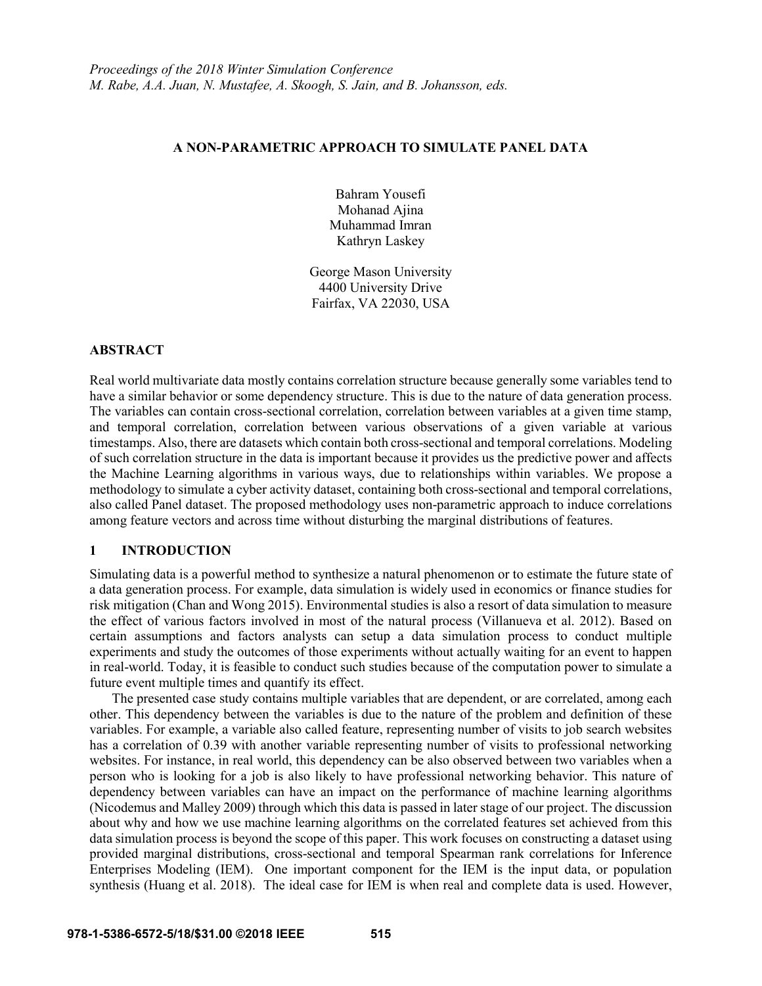## **A NON-PARAMETRIC APPROACH TO SIMULATE PANEL DATA**

Bahram Yousefi Mohanad Ajina Muhammad Imran Kathryn Laskey

George Mason University 4400 University Drive Fairfax, VA 22030, USA

## **ABSTRACT**

Real world multivariate data mostly contains correlation structure because generally some variables tend to have a similar behavior or some dependency structure. This is due to the nature of data generation process. The variables can contain cross-sectional correlation, correlation between variables at a given time stamp, and temporal correlation, correlation between various observations of a given variable at various timestamps. Also, there are datasets which contain both cross-sectional and temporal correlations. Modeling of such correlation structure in the data is important because it provides us the predictive power and affects the Machine Learning algorithms in various ways, due to relationships within variables. We propose a methodology to simulate a cyber activity dataset, containing both cross-sectional and temporal correlations, also called Panel dataset. The proposed methodology uses non-parametric approach to induce correlations among feature vectors and across time without disturbing the marginal distributions of features.

## **1 INTRODUCTION**

Simulating data is a powerful method to synthesize a natural phenomenon or to estimate the future state of a data generation process. For example, data simulation is widely used in economics or finance studies for risk mitigation (Chan and Wong 2015). Environmental studies is also a resort of data simulation to measure the effect of various factors involved in most of the natural process (Villanueva et al. 2012). Based on certain assumptions and factors analysts can setup a data simulation process to conduct multiple experiments and study the outcomes of those experiments without actually waiting for an event to happen in real-world. Today, it is feasible to conduct such studies because of the computation power to simulate a future event multiple times and quantify its effect.

The presented case study contains multiple variables that are dependent, or are correlated, among each other. This dependency between the variables is due to the nature of the problem and definition of these variables. For example, a variable also called feature, representing number of visits to job search websites has a correlation of 0.39 with another variable representing number of visits to professional networking websites. For instance, in real world, this dependency can be also observed between two variables when a person who is looking for a job is also likely to have professional networking behavior. This nature of dependency between variables can have an impact on the performance of machine learning algorithms (Nicodemus and Malley 2009) through which this data is passed in later stage of our project. The discussion about why and how we use machine learning algorithms on the correlated features set achieved from this data simulation process is beyond the scope of this paper. This work focuses on constructing a dataset using provided marginal distributions, cross-sectional and temporal Spearman rank correlations for Inference Enterprises Modeling (IEM). One important component for the IEM is the input data, or population synthesis (Huang et al. 2018). The ideal case for IEM is when real and complete data is used. However,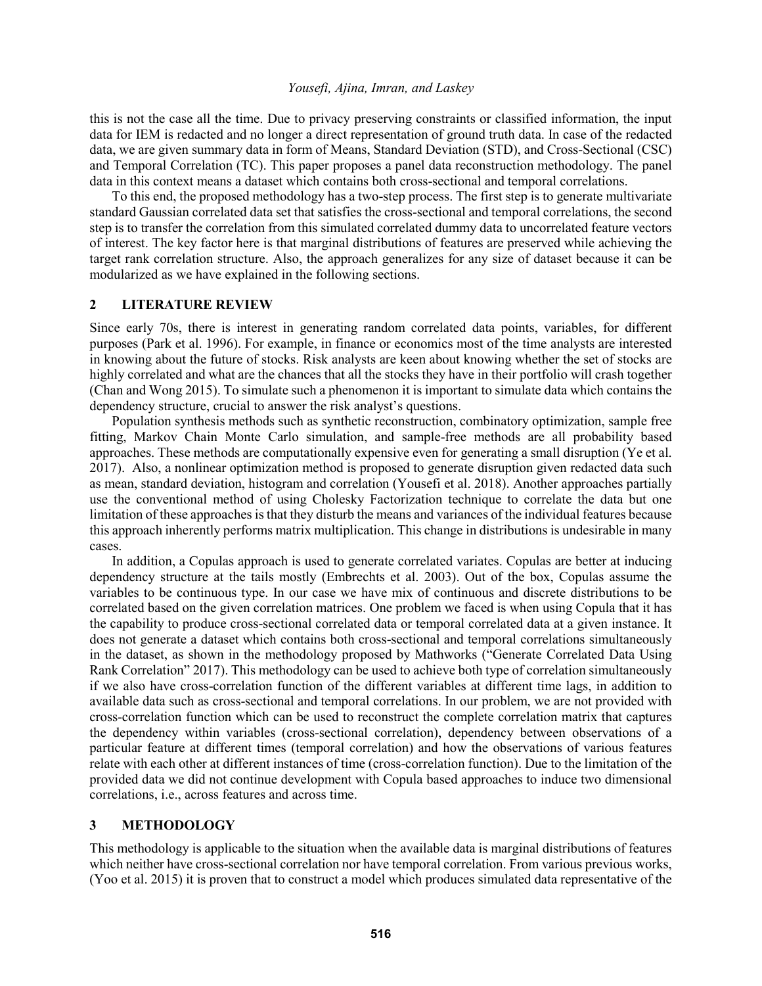this is not the case all the time. Due to privacy preserving constraints or classified information, the input data for IEM is redacted and no longer a direct representation of ground truth data. In case of the redacted data, we are given summary data in form of Means, Standard Deviation (STD), and Cross-Sectional (CSC) and Temporal Correlation (TC). This paper proposes a panel data reconstruction methodology. The panel data in this context means a dataset which contains both cross-sectional and temporal correlations.

To this end, the proposed methodology has a two-step process. The first step is to generate multivariate standard Gaussian correlated data set that satisfies the cross-sectional and temporal correlations, the second step is to transfer the correlation from this simulated correlated dummy data to uncorrelated feature vectors of interest. The key factor here is that marginal distributions of features are preserved while achieving the target rank correlation structure. Also, the approach generalizes for any size of dataset because it can be modularized as we have explained in the following sections.

### **2 LITERATURE REVIEW**

Since early 70s, there is interest in generating random correlated data points, variables, for different purposes (Park et al. 1996). For example, in finance or economics most of the time analysts are interested in knowing about the future of stocks. Risk analysts are keen about knowing whether the set of stocks are highly correlated and what are the chances that all the stocks they have in their portfolio will crash together (Chan and Wong 2015). To simulate such a phenomenon it is important to simulate data which contains the dependency structure, crucial to answer the risk analyst's questions.

Population synthesis methods such as synthetic reconstruction, combinatory optimization, sample free fitting, Markov Chain Monte Carlo simulation, and sample-free methods are all probability based approaches. These methods are computationally expensive even for generating a small disruption (Ye et al. 2017). Also, a nonlinear optimization method is proposed to generate disruption given redacted data such as mean, standard deviation, histogram and correlation (Yousefi et al. 2018). Another approaches partially use the conventional method of using Cholesky Factorization technique to correlate the data but one limitation of these approaches is that they disturb the means and variances of the individual features because this approach inherently performs matrix multiplication. This change in distributions is undesirable in many cases.

In addition, a Copulas approach is used to generate correlated variates. Copulas are better at inducing dependency structure at the tails mostly (Embrechts et al. 2003). Out of the box, Copulas assume the variables to be continuous type. In our case we have mix of continuous and discrete distributions to be correlated based on the given correlation matrices. One problem we faced is when using Copula that it has the capability to produce cross-sectional correlated data or temporal correlated data at a given instance. It does not generate a dataset which contains both cross-sectional and temporal correlations simultaneously in the dataset, as shown in the methodology proposed by Mathworks ("Generate Correlated Data Using Rank Correlation" 2017). This methodology can be used to achieve both type of correlation simultaneously if we also have cross-correlation function of the different variables at different time lags, in addition to available data such as cross-sectional and temporal correlations. In our problem, we are not provided with cross-correlation function which can be used to reconstruct the complete correlation matrix that captures the dependency within variables (cross-sectional correlation), dependency between observations of a particular feature at different times (temporal correlation) and how the observations of various features relate with each other at different instances of time (cross-correlation function). Due to the limitation of the provided data we did not continue development with Copula based approaches to induce two dimensional correlations, i.e., across features and across time.

#### **3 METHODOLOGY**

This methodology is applicable to the situation when the available data is marginal distributions of features which neither have cross-sectional correlation nor have temporal correlation. From various previous works, (Yoo et al. 2015) it is proven that to construct a model which produces simulated data representative of the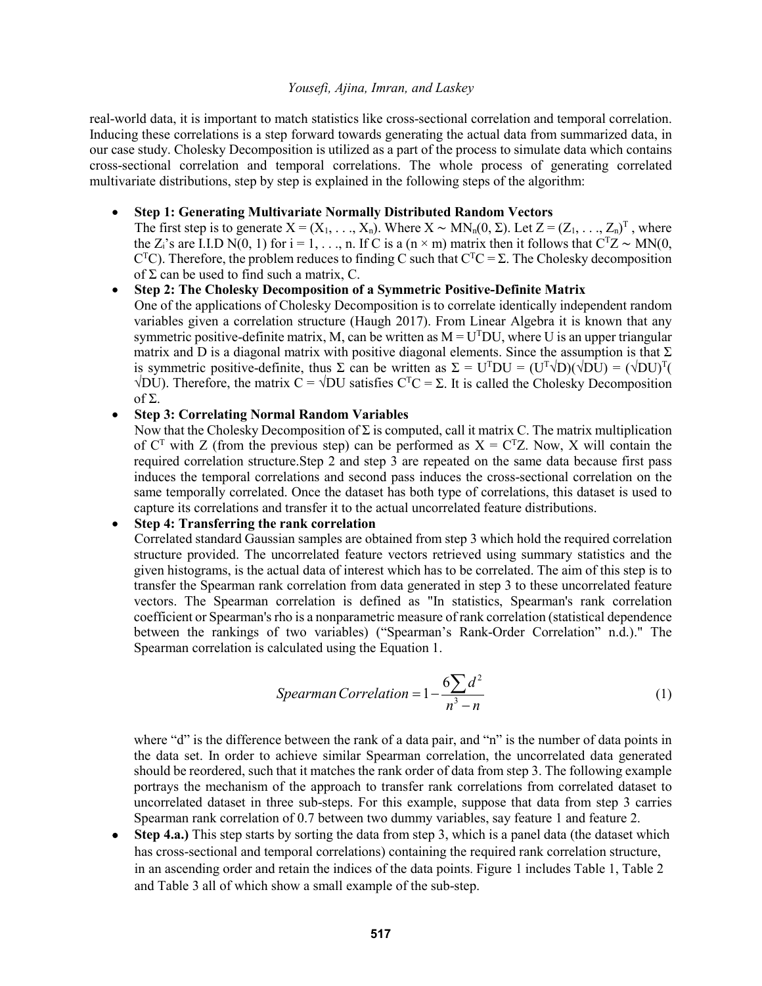real-world data, it is important to match statistics like cross-sectional correlation and temporal correlation. Inducing these correlations is a step forward towards generating the actual data from summarized data, in our case study. Cholesky Decomposition is utilized as a part of the process to simulate data which contains cross-sectional correlation and temporal correlations. The whole process of generating correlated multivariate distributions, step by step is explained in the following steps of the algorithm:

• **Step 1: Generating Multivariate Normally Distributed Random Vectors**

The first step is to generate  $X = (X_1, \ldots, X_n)$ . Where  $X \sim MN_n(0, \Sigma)$ . Let  $Z = (Z_1, \ldots, Z_n)^T$ , where the Z<sub>i</sub>'s are I.I.D N(0, 1) for  $i = 1, ..., n$ . If C is a (n × m) matrix then it follows that C<sup>T</sup>Z ~ MN(0, C<sup>T</sup>C). Therefore, the problem reduces to finding C such that  $C<sup>T</sup>C = \Sigma$ . The Cholesky decomposition of  $\Sigma$  can be used to find such a matrix, C.

## • **Step 2: The Cholesky Decomposition of a Symmetric Positive-Definite Matrix**

One of the applications of Cholesky Decomposition is to correlate identically independent random variables given a correlation structure (Haugh 2017). From Linear Algebra it is known that any symmetric positive-definite matrix, M, can be written as  $M = U<sup>T</sup>DU$ , where U is an upper triangular matrix and D is a diagonal matrix with positive diagonal elements. Since the assumption is that  $\Sigma$ is symmetric positive-definite, thus  $\Sigma$  can be written as  $\Sigma = U^{T}DU = (U^{T}\sqrt{D})(\sqrt{DU}) = (\sqrt{D}U)^{T}$  $\sqrt{DU}$ ). Therefore, the matrix C =  $\sqrt{DU}$  satisfies C<sup>T</sup>C =  $\Sigma$ . It is called the Cholesky Decomposition of Σ.

## • **Step 3: Correlating Normal Random Variables**

Now that the Cholesky Decomposition of  $\Sigma$  is computed, call it matrix C. The matrix multiplication of  $C<sup>T</sup>$  with Z (from the previous step) can be performed as  $X = C<sup>T</sup>Z$ . Now, X will contain the required correlation structure.Step 2 and step 3 are repeated on the same data because first pass induces the temporal correlations and second pass induces the cross-sectional correlation on the same temporally correlated. Once the dataset has both type of correlations, this dataset is used to capture its correlations and transfer it to the actual uncorrelated feature distributions.

# • **Step 4: Transferring the rank correlation**

Correlated standard Gaussian samples are obtained from step 3 which hold the required correlation structure provided. The uncorrelated feature vectors retrieved using summary statistics and the given histograms, is the actual data of interest which has to be correlated. The aim of this step is to transfer the Spearman rank correlation from data generated in step 3 to these uncorrelated feature vectors. The Spearman correlation is defined as "In statistics, Spearman's rank correlation coefficient or Spearman's rho is a nonparametric measure of rank correlation (statistical dependence between the rankings of two variables) ("Spearman's Rank-Order Correlation" n.d.)." The Spearman correlation is calculated using the Equation 1.

$$
Spearman Correlation = 1 - \frac{6\sum d^2}{n^3 - n}
$$
 (1)

where "d" is the difference between the rank of a data pair, and "n" is the number of data points in the data set. In order to achieve similar Spearman correlation, the uncorrelated data generated should be reordered, such that it matches the rank order of data from step 3. The following example portrays the mechanism of the approach to transfer rank correlations from correlated dataset to uncorrelated dataset in three sub-steps. For this example, suppose that data from step 3 carries Spearman rank correlation of 0.7 between two dummy variables, say feature 1 and feature 2.

• **Step 4.a.**) This step starts by sorting the data from step 3, which is a panel data (the dataset which has cross-sectional and temporal correlations) containing the required rank correlation structure, in an ascending order and retain the indices of the data points. Figure 1 includes Table 1, Table 2 and Table 3 all of which show a small example of the sub-step.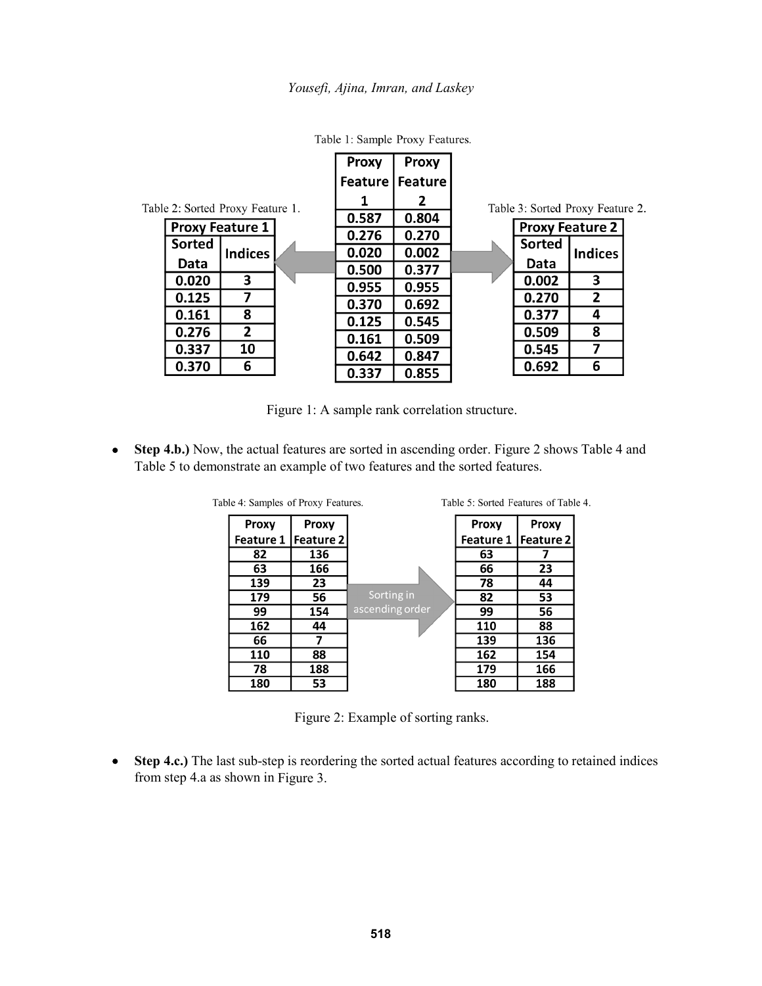

Table 1: Sample Proxy Features.

Figure 1: A sample rank correlation structure.

• **Step 4.b.)** Now, the actual features are sorted in ascending order. Figure 2 shows Table 4 and Table 5 to demonstrate an example of two features and the sorted features.

| Table 4: Samples of Proxy Features. |                   |                 | Table 5: Sorted Features of Table 4. |                  |  |
|-------------------------------------|-------------------|-----------------|--------------------------------------|------------------|--|
| Proxy                               | <b>Proxy</b>      |                 | Proxy                                | <b>Proxy</b>     |  |
| Feature 1                           | <b>IFeature 2</b> |                 | <b>Feature 1</b>                     | <b>Feature 2</b> |  |
| 82                                  | 136               |                 | 63                                   |                  |  |
| 63                                  | 166               |                 | 66                                   | 23               |  |
| 139                                 | 23                |                 | 78                                   | 44               |  |
| 179                                 | 56                | Sorting in      | 82                                   | 53               |  |
| 99                                  | 154               | ascending order | 99                                   | 56               |  |
| 162                                 | 44                |                 | 110                                  | 88               |  |
| 66                                  |                   |                 | 139                                  | 136              |  |
| 110                                 | 88                |                 | 162                                  | 154              |  |
| 78                                  | 188               |                 | 179                                  | 166              |  |
| 180                                 | 53                |                 | 180                                  | 188              |  |

Figure 2: Example of sorting ranks.

• **Step 4.c.)** The last sub-step is reordering the sorted actual features according to retained indices from step 4.a as shown in Figure 3.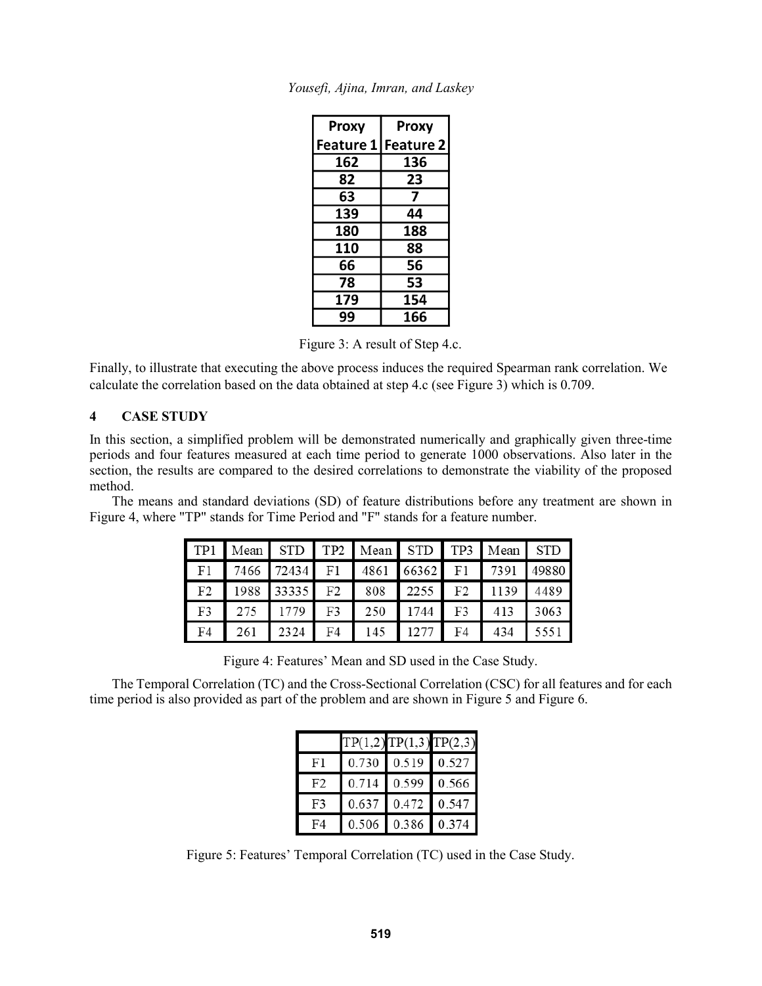| Proxy            | <b>Proxy</b> |
|------------------|--------------|
| <b>Feature 1</b> | Feature 2    |
| 162              | 136          |
| 82               | 23           |
| 63               |              |
| 139              | 44           |
| 180              | 188          |
| 110              | 88           |
| 66               | 56           |
| 78               | 53           |
| 179              | 154          |
| 99               | 166          |

*Yousefi, Ajina, Imran, and Laskey*

Figure 3: A result of Step 4.c.

Finally, to illustrate that executing the above process induces the required Spearman rank correlation. We calculate the correlation based on the data obtained at step 4.c (see Figure 3) which is 0.709.

## **4 CASE STUDY**

In this section, a simplified problem will be demonstrated numerically and graphically given three-time periods and four features measured at each time period to generate 1000 observations. Also later in the section, the results are compared to the desired correlations to demonstrate the viability of the proposed method.

The means and standard deviations (SD) of feature distributions before any treatment are shown in Figure 4, where "TP" stands for Time Period and "F" stands for a feature number.

| TP <sub>1</sub> |     | Mean STD TP2 Mean STD TP3 Mean STD |    |     |               |    |      |       |
|-----------------|-----|------------------------------------|----|-----|---------------|----|------|-------|
| F1              |     | 7466 72434 F1                      |    |     | 4861 66362 F1 |    | 7391 | 49880 |
| F <sub>2</sub>  |     | 1988 33335 F2                      |    | 808 | 2255          | F2 | 1139 | 4489  |
| F3              | 275 | 1779                               | F3 | 250 | 1744          | F3 | 413  | 3063  |
| F4              | 261 | 2324                               | F4 | 145 | 1277          | F4 | 434  | 5551  |

Figure 4: Features' Mean and SD used in the Case Study.

The Temporal Correlation (TC) and the Cross-Sectional Correlation (CSC) for all features and for each time period is also provided as part of the problem and are shown in Figure 5 and Figure 6.

|                | TP(1,2)TP(1,3)TP(2,3) |                   |  |
|----------------|-----------------------|-------------------|--|
| F1             | 0.730 0.519 0.527     |                   |  |
| F <sub>2</sub> | 0.714 0.599 0.566     |                   |  |
| F <sub>3</sub> |                       | 0.637 0.472 0.547 |  |
| FA             |                       | 0.506 0.386 0.374 |  |

Figure 5: Features' Temporal Correlation (TC) used in the Case Study.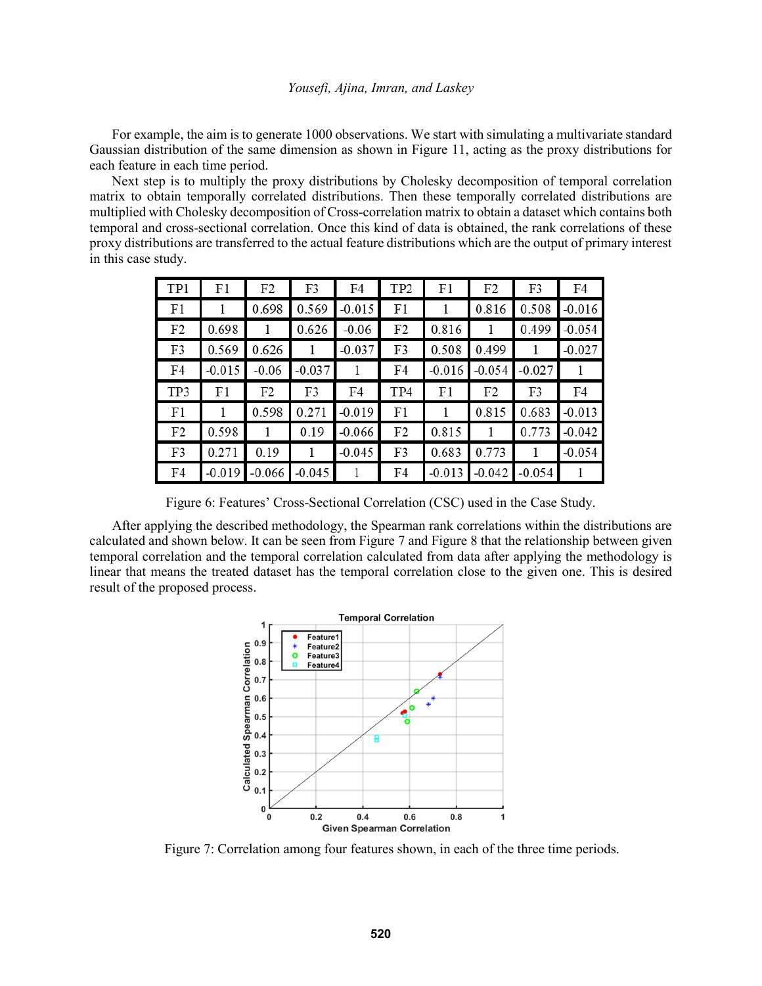For example, the aim is to generate 1000 observations. We start with simulating a multivariate standard Gaussian distribution of the same dimension as shown in Figure 11, acting as the proxy distributions for each feature in each time period.

Next step is to multiply the proxy distributions by Cholesky decomposition of temporal correlation matrix to obtain temporally correlated distributions. Then these temporally correlated distributions are multiplied with Cholesky decomposition of Cross-correlation matrix to obtain a dataset which contains both temporal and cross-sectional correlation. Once this kind of data is obtained, the rank correlations of these proxy distributions are transferred to the actual feature distributions which are the output of primary interest in this case study.

| TP1            | F1       | F2       | F3       | F4       | TP <sub>2</sub> | F1       | F <sub>2</sub> | F3       | F4             |
|----------------|----------|----------|----------|----------|-----------------|----------|----------------|----------|----------------|
| F1             |          | 0.698    | 0.569    | $-0.015$ | F1              |          | 0.816          | 0.508    | $-0.016$       |
| F2             | 0.698    |          | 0.626    | $-0.06$  | F2              | 0.816    |                | 0.499    | $-0.054$       |
| F3             | 0.569    | 0.626    | 1        | $-0.037$ | F3              | 0.508    | 0.499          |          | $-0.027$       |
| F4             | $-0.015$ | $-0.06$  | $-0.037$ | 1        | F4              | $-0.016$ | $-0.054$       | $-0.027$ |                |
| TP3            | F1       | F2       | F3       | F4       | TP <sub>4</sub> | F1       | F2             | F3       | F <sub>4</sub> |
| F1             |          | 0.598    | 0.271    | $-0.019$ | F1              |          | 0.815          | 0.683    | $-0.013$       |
| F <sub>2</sub> | 0.598    |          | 0.19     | $-0.066$ | F <sub>2</sub>  | 0.815    |                | 0.773    | $-0.042$       |
| F3             | 0.271    | 0.19     | 1        | $-0.045$ | F3              | 0.683    | 0.773          |          | $-0.054$       |
| F4             | $-0.019$ | $-0.066$ | $-0.045$ |          | F4              | $-0.013$ | $-0.042$       | $-0.054$ |                |

Figure 6: Features' Cross-Sectional Correlation (CSC) used in the Case Study.

After applying the described methodology, the Spearman rank correlations within the distributions are calculated and shown below. It can be seen from Figure 7 and Figure 8 that the relationship between given temporal correlation and the temporal correlation calculated from data after applying the methodology is linear that means the treated dataset has the temporal correlation close to the given one. This is desired result of the proposed process.



Figure 7: Correlation among four features shown, in each of the three time periods.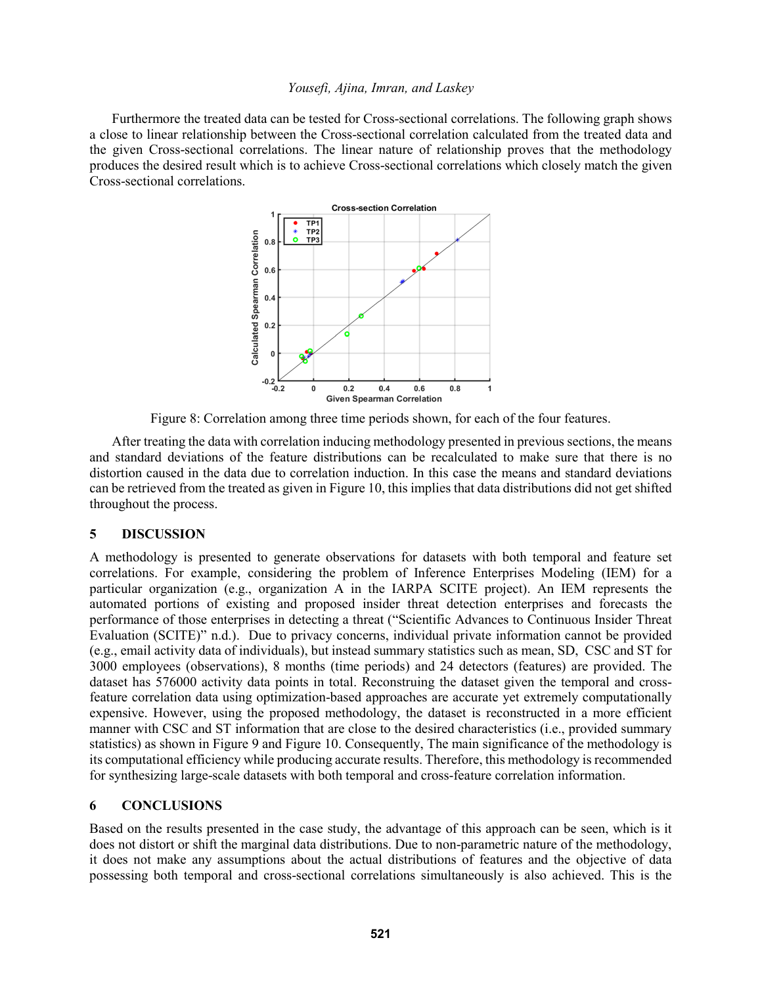Furthermore the treated data can be tested for Cross-sectional correlations. The following graph shows a close to linear relationship between the Cross-sectional correlation calculated from the treated data and the given Cross-sectional correlations. The linear nature of relationship proves that the methodology produces the desired result which is to achieve Cross-sectional correlations which closely match the given Cross-sectional correlations.



Figure 8: Correlation among three time periods shown, for each of the four features.

After treating the data with correlation inducing methodology presented in previous sections, the means and standard deviations of the feature distributions can be recalculated to make sure that there is no distortion caused in the data due to correlation induction. In this case the means and standard deviations can be retrieved from the treated as given in Figure 10, this implies that data distributions did not get shifted throughout the process.

### **5 DISCUSSION**

A methodology is presented to generate observations for datasets with both temporal and feature set correlations. For example, considering the problem of Inference Enterprises Modeling (IEM) for a particular organization (e.g., organization A in the IARPA SCITE project). An IEM represents the automated portions of existing and proposed insider threat detection enterprises and forecasts the performance of those enterprises in detecting a threat ("Scientific Advances to Continuous Insider Threat Evaluation (SCITE)" n.d.). Due to privacy concerns, individual private information cannot be provided (e.g., email activity data of individuals), but instead summary statistics such as mean, SD, CSC and ST for 3000 employees (observations), 8 months (time periods) and 24 detectors (features) are provided. The dataset has 576000 activity data points in total. Reconstruing the dataset given the temporal and crossfeature correlation data using optimization-based approaches are accurate yet extremely computationally expensive. However, using the proposed methodology, the dataset is reconstructed in a more efficient manner with CSC and ST information that are close to the desired characteristics (i.e., provided summary statistics) as shown in Figure 9 and Figure 10. Consequently, The main significance of the methodology is its computational efficiency while producing accurate results. Therefore, this methodology is recommended for synthesizing large-scale datasets with both temporal and cross-feature correlation information.

### **6 CONCLUSIONS**

Based on the results presented in the case study, the advantage of this approach can be seen, which is it does not distort or shift the marginal data distributions. Due to non-parametric nature of the methodology, it does not make any assumptions about the actual distributions of features and the objective of data possessing both temporal and cross-sectional correlations simultaneously is also achieved. This is the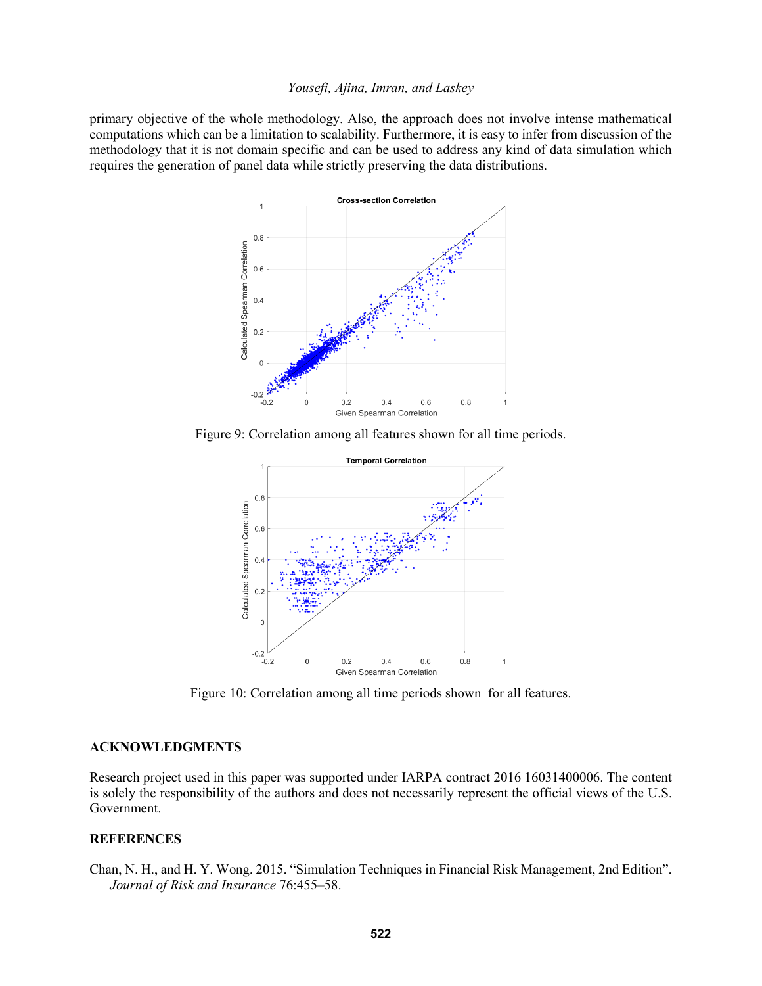primary objective of the whole methodology. Also, the approach does not involve intense mathematical computations which can be a limitation to scalability. Furthermore, it is easy to infer from discussion of the methodology that it is not domain specific and can be used to address any kind of data simulation which requires the generation of panel data while strictly preserving the data distributions.



Figure 9: Correlation among all features shown for all time periods.



Figure 10: Correlation among all time periods shown for all features.

## **ACKNOWLEDGMENTS**

Research project used in this paper was supported under IARPA contract 2016 16031400006. The content is solely the responsibility of the authors and does not necessarily represent the official views of the U.S. Government.

## **REFERENCES**

Chan, N. H., and H. Y. Wong. 2015. "Simulation Techniques in Financial Risk Management, 2nd Edition". *Journal of Risk and Insurance* 76:455–58.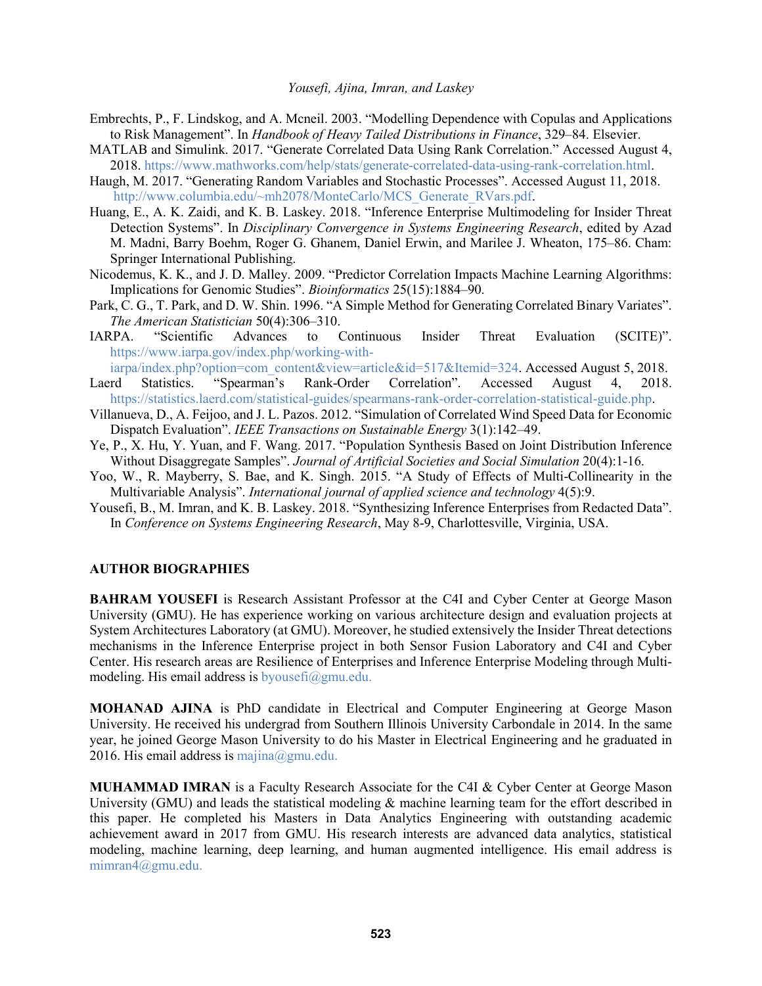- Embrechts, P., F. Lindskog, and A. Mcneil. 2003. "Modelling Dependence with Copulas and Applications to Risk Management". In *Handbook of Heavy Tailed Distributions in Finance*, 329–84. Elsevier.
- MATLAB and Simulink. 2017. "Generate Correlated Data Using Rank Correlation." Accessed August 4, 2018. https://www.mathworks.com/help/stats/generate-correlated-data-using-rank-correlation.html.
- Haugh, M. 2017. "Generating Random Variables and Stochastic Processes". Accessed August 11, 2018. http://www.columbia.edu/~mh2078/MonteCarlo/MCS\_Generate\_RVars.pdf.
- Huang, E., A. K. Zaidi, and K. B. Laskey. 2018. "Inference Enterprise Multimodeling for Insider Threat Detection Systems". In *Disciplinary Convergence in Systems Engineering Research*, edited by Azad M. Madni, Barry Boehm, Roger G. Ghanem, Daniel Erwin, and Marilee J. Wheaton, 175–86. Cham: Springer International Publishing.
- Nicodemus, K. K., and J. D. Malley. 2009. "Predictor Correlation Impacts Machine Learning Algorithms: Implications for Genomic Studies". *Bioinformatics* 25(15):1884–90.
- Park, C. G., T. Park, and D. W. Shin. 1996. "A Simple Method for Generating Correlated Binary Variates". *The American Statistician* 50(4):306–310.
- IARPA. "Scientific Advances to Continuous Insider Threat Evaluation (SCITE)". https://www.iarpa.gov/index.php/working-with-
- iarpa/index.php?option=com\_content&view=article&id=517&Itemid=324. Accessed August 5, 2018. Laerd Statistics. "Spearman's Rank-Order Correlation". Accessed August 4, 2018. https://statistics.laerd.com/statistical-guides/spearmans-rank-order-correlation-statistical-guide.php.
- Villanueva, D., A. Feijoo, and J. L. Pazos. 2012. "Simulation of Correlated Wind Speed Data for Economic Dispatch Evaluation". *IEEE Transactions on Sustainable Energy* 3(1):142–49.
- Ye, P., X. Hu, Y. Yuan, and F. Wang. 2017. "Population Synthesis Based on Joint Distribution Inference Without Disaggregate Samples". *Journal of Artificial Societies and Social Simulation* 20(4):1-16.
- Yoo, W., R. Mayberry, S. Bae, and K. Singh. 2015. "A Study of Effects of Multi-Collinearity in the Multivariable Analysis". *International journal of applied science and technology* 4(5):9.
- Yousefi, B., M. Imran, and K. B. Laskey. 2018. "Synthesizing Inference Enterprises from Redacted Data". In *Conference on Systems Engineering Research*, May 8-9, Charlottesville, Virginia, USA.

#### **AUTHOR BIOGRAPHIES**

**BAHRAM YOUSEFI** is Research Assistant Professor at the C4I and Cyber Center at George Mason University (GMU). He has experience working on various architecture design and evaluation projects at System Architectures Laboratory (at GMU). Moreover, he studied extensively the Insider Threat detections mechanisms in the Inference Enterprise project in both Sensor Fusion Laboratory and C4I and Cyber Center. His research areas are Resilience of Enterprises and Inference Enterprise Modeling through Multimodeling. His email address is byousefi@gmu.edu.

**MOHANAD AJINA** is PhD candidate in Electrical and Computer Engineering at George Mason University. He received his undergrad from Southern Illinois University Carbondale in 2014. In the same year, he joined George Mason University to do his Master in Electrical Engineering and he graduated in 2016. His email address is majina@gmu.edu.

**MUHAMMAD IMRAN** is a Faculty Research Associate for the C4I & Cyber Center at George Mason University (GMU) and leads the statistical modeling & machine learning team for the effort described in this paper. He completed his Masters in Data Analytics Engineering with outstanding academic achievement award in 2017 from GMU. His research interests are advanced data analytics, statistical modeling, machine learning, deep learning, and human augmented intelligence. His email address is mimran4@gmu.edu.